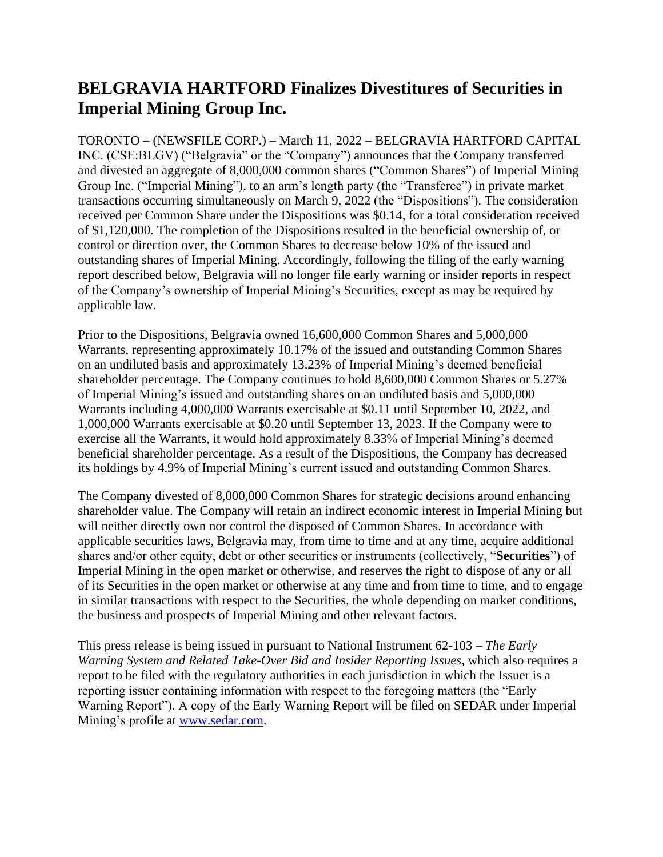## **BELGRAVIA HARTFORD Finalizes Divestitures of Securities in Imperial Mining Group Inc.**

TORONTO – (NEWSFILE CORP.) – March 11, 2022 – BELGRAVIA HARTFORD CAPITAL INC. (CSE:BLGV) ("Belgravia" or the "Company") announces that the Company transferred and divested an aggregate of 8,000,000 common shares ("Common Shares") of Imperial Mining Group Inc. ("Imperial Mining"), to an arm's length party (the "Transferee") in private market transactions occurring simultaneously on March 9, 2022 (the "Dispositions"). The consideration received per Common Share under the Dispositions was \$0.14, for a total consideration received of \$1,120,000. The completion of the Dispositions resulted in the beneficial ownership of, or control or direction over, the Common Shares to decrease below 10% of the issued and outstanding shares of Imperial Mining. Accordingly, following the filing of the early warning report described below, Belgravia will no longer file early warning or insider reports in respect of the Company's ownership of Imperial Mining's Securities, except as may be required by applicable law.

Prior to the Dispositions, Belgravia owned 16,600,000 Common Shares and 5,000,000 Warrants, representing approximately 10.17% of the issued and outstanding Common Shares on an undiluted basis and approximately 13.23% of Imperial Mining's deemed beneficial shareholder percentage. The Company continues to hold 8,600,000 Common Shares or 5.27% of Imperial Mining's issued and outstanding shares on an undiluted basis and 5,000,000 Warrants including 4,000,000 Warrants exercisable at \$0.11 until September 10, 2022, and 1,000,000 Warrants exercisable at \$0.20 until September 13, 2023. If the Company were to exercise all the Warrants, it would hold approximately 8.33% of Imperial Mining's deemed beneficial shareholder percentage. As a result of the Dispositions, the Company has decreased its holdings by 4.9% of Imperial Mining's current issued and outstanding Common Shares.

The Company divested of 8,000,000 Common Shares for strategic decisions around enhancing shareholder value. The Company will retain an indirect economic interest in Imperial Mining but will neither directly own nor control the disposed of Common Shares. In accordance with applicable securities laws, Belgravia may, from time to time and at any time, acquire additional shares and/or other equity, debt or other securities or instruments (collectively, "**Securities**") of Imperial Mining in the open market or otherwise, and reserves the right to dispose of any or all of its Securities in the open market or otherwise at any time and from time to time, and to engage in similar transactions with respect to the Securities, the whole depending on market conditions, the business and prospects of Imperial Mining and other relevant factors.

This press release is being issued in pursuant to National Instrument 62-103 – *The Early Warning System and Related Take-Over Bid and Insider Reporting Issues*, which also requires a report to be filed with the regulatory authorities in each jurisdiction in which the Issuer is a reporting issuer containing information with respect to the foregoing matters (the "Early Warning Report"). A copy of the Early Warning Report will be filed on SEDAR under Imperial Mining's profile at [www.sedar.com.](http://www.sedar.com/)